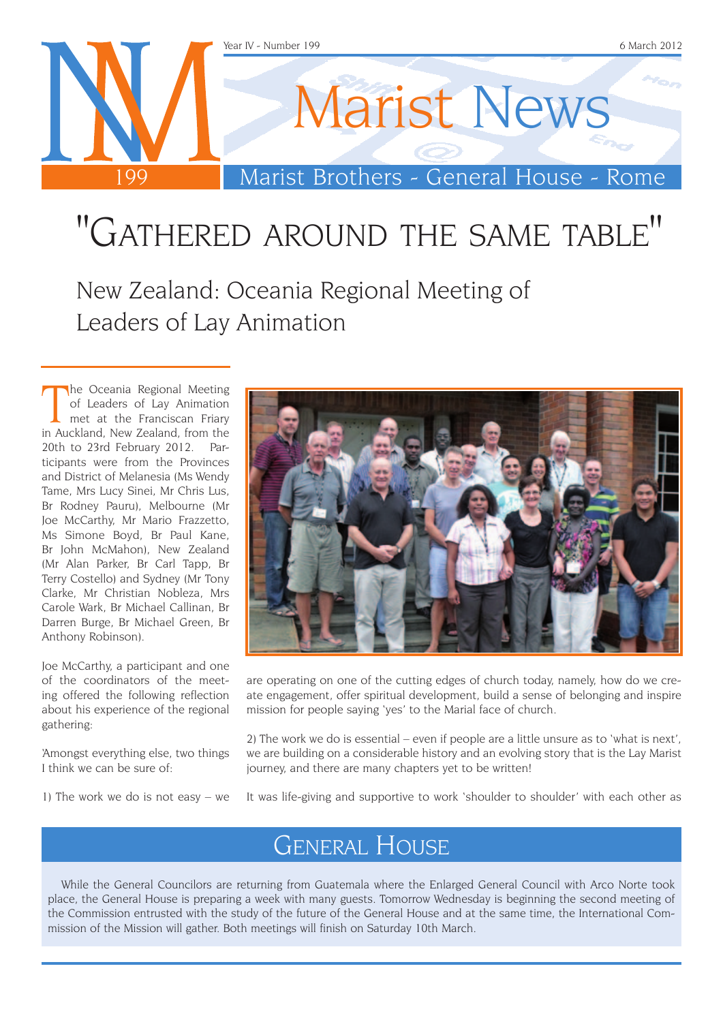

# "Gathered around the same table"

New Zealand: Oceania Regional Meeting of Leaders of Lay Animation

The Oceania Regional Meeting<br>of Leaders of Lay Animation<br>met at the Franciscan Friary<br>in Auckland, New Zealand, from the he Oceania Regional Meeting of Leaders of Lay Animation met at the Franciscan Friary 20th to 23rd February 2012. Participants were from the Provinces and District of Melanesia (Ms Wendy Tame, Mrs Lucy Sinei, Mr Chris Lus, Br Rodney Pauru), Melbourne (Mr Joe McCarthy, Mr Mario Frazzetto, Ms Simone Boyd, Br Paul Kane, Br John McMahon), New Zealand (Mr Alan Parker, Br Carl Tapp, Br Terry Costello) and Sydney (Mr Tony Clarke, Mr Christian Nobleza, Mrs Carole Wark, Br Michael Callinan, Br Darren Burge, Br Michael Green, Br Anthony Robinson).

Joe McCarthy, a participant and one of the coordinators of the meeting offered the following reflection about his experience of the regional gathering:

'Amongst everything else, two things I think we can be sure of:

1) The work we do is not easy – we



are operating on one of the cutting edges of church today, namely, how do we create engagement, offer spiritual development, build a sense of belonging and inspire mission for people saying 'yes' to the Marial face of church.

2) The work we do is essential – even if people are a little unsure as to 'what is next', we are building on a considerable history and an evolving story that is the Lay Marist journey, and there are many chapters yet to be written!

It was life-giving and supportive to work 'shoulder to shoulder' with each other as

## General House

While the General Councilors are returning from Guatemala where the Enlarged General Council with Arco Norte took place, the General House is preparing a week with many guests. Tomorrow Wednesday is beginning the second meeting of the Commission entrusted with the study of the future of the General House and at the same time, the International Commission of the Mission will gather. Both meetings will finish on Saturday 10th March.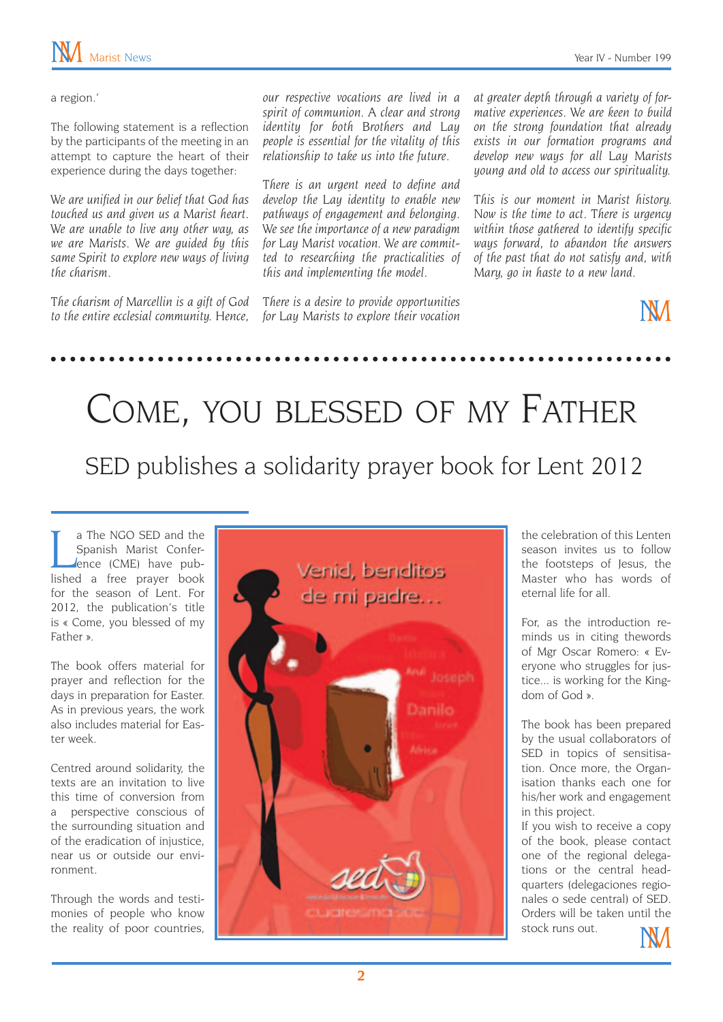a region.'

The following statement is a reflection by the participants of the meeting in an attempt to capture the heart of their experience during the days together:

*We are unified in our belief that God has touched us and given us a Marist heart. We are unable to live any other way, as we are Marists. We are guided by this same Spirit to explore new ways of living the charism.*

*The charism of Marcellin is a gift of God to the entire ecclesial community. Hence,*  *our respective vocations are lived in a spirit of communion. A clear and strong identity for both Brothers and Lay people is essential for the vitality of this relationship to take us into the future.* 

*There is an urgent need to define and develop the Lay identity to enable new pathways of engagement and belonging. We see the importance of a new paradigm for Lay Marist vocation. We are committed to researching the practicalities of this and implementing the model.*

*There is a desire to provide opportunities for Lay Marists to explore their vocation* 

*at greater depth through a variety of formative experiences. We are keen to build on the strong foundation that already exists in our formation programs and develop new ways for all Lay Marists young and old to access our spirituality.*

*This is our moment in Marist history. Now is the time to act. There is urgency within those gathered to identify specific ways forward, to abandon the answers of the past that do not satisfy and, with Mary, go in haste to a new land.*

**NM** 

# Come, you blessed of my Father SED publishes a solidarity prayer book for Lent 2012

I a The NGO SED and the<br>Spanish Marist Confer-<br>Jence (CME) have pub-<br>lished a free prayer book a The NGO SED and the Spanish Marist Conference (CME) have pubfor the season of Lent. For 2012, the publication's title is « Come, you blessed of my Father ».

The book offers material for prayer and reflection for the days in preparation for Easter. As in previous years, the work also includes material for Easter week.

Centred around solidarity, the texts are an invitation to live this time of conversion from a perspective conscious of the surrounding situation and of the eradication of injustice, near us or outside our environment.

Through the words and testimonies of people who know the reality of poor countries,



the celebration of this Lenten season invites us to follow the footsteps of Jesus, the Master who has words of eternal life for all.

For, as the introduction reminds us in citing thewords of Mgr Oscar Romero: « Everyone who struggles for justice... is working for the Kingdom of God ».

The book has been prepared by the usual collaborators of SED in topics of sensitisation. Once more, the Organisation thanks each one for his/her work and engagement in this project.

If you wish to receive a copy of the book, please contact one of the regional delegations or the central headquarters (delegaciones regionales o sede central) of SED. Orders will be taken until the stock runs out.



**2**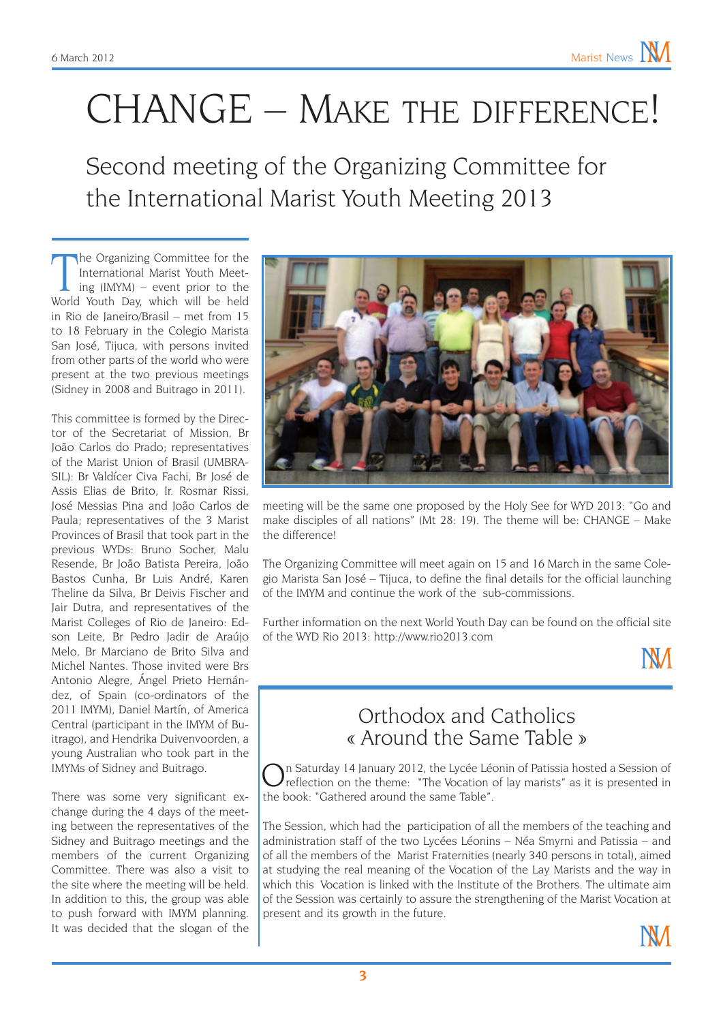# CHANGE – Make the difference!

Second meeting of the Organizing Committee for the International Marist Youth Meeting 2013

The Organizing Committee for the International Marist Youth Meeting (IMYM) – event prior to the World Youth Day, which will be held he Organizing Committee for the International Marist Youth Meeting (IMYM) – event prior to the in Rio de Janeiro/Brasil – met from 15 to 18 February in the Colegio Marista San José, Tijuca, with persons invited from other parts of the world who were present at the two previous meetings (Sidney in 2008 and Buitrago in 2011).

This committee is formed by the Director of the Secretariat of Mission, Br João Carlos do Prado; representatives of the Marist Union of Brasil (UMBRA-SIL): Br Valdícer Civa Fachi, Br José de Assis Elias de Brito, Ir. Rosmar Rissi, José Messias Pina and João Carlos de Paula; representatives of the 3 Marist Provinces of Brasil that took part in the previous WYDs: Bruno Socher, Malu Resende, Br João Batista Pereira, João Bastos Cunha, Br Luis André, Karen Theline da Silva, Br Deivis Fischer and Jair Dutra, and representatives of the Marist Colleges of Rio de Janeiro: Edson Leite, Br Pedro Jadir de Araújo Melo, Br Marciano de Brito Silva and Michel Nantes. Those invited were Brs Antonio Alegre, Ángel Prieto Hernández, of Spain (co-ordinators of the 2011 IMYM), Daniel Martín, of America Central (participant in the IMYM of Buitrago), and Hendrika Duivenvoorden, a young Australian who took part in the IMYMs of Sidney and Buitrago.

There was some very significant exchange during the 4 days of the meeting between the representatives of the Sidney and Buitrago meetings and the members of the current Organizing Committee. There was also a visit to the site where the meeting will be held. In addition to this, the group was able to push forward with IMYM planning. It was decided that the slogan of the



meeting will be the same one proposed by the Holy See for WYD 2013: "Go and make disciples of all nations" (Mt 28: 19). The theme will be: CHANGE – Make the difference!

The Organizing Committee will meet again on 15 and 16 March in the same Colegio Marista San José – Tijuca, to define the final details for the official launching of the IMYM and continue the work of the sub-commissions.

Further information on the next World Youth Day can be found on the official site of the WYD Rio 2013: http://www.rio2013.com



#### Orthodox and Catholics « Around the Same Table »

n Saturday 14 January 2012, the Lycée Léonin of Patissia hosted a Session of reflection on the theme: "The Vocation of lay marists" as it is presented in the book: "Gathered around the same Table".

The Session, which had the participation of all the members of the teaching and administration staff of the two Lycées Léonins – Néa Smyrni and Patissia – and of all the members of the Marist Fraternities (nearly 340 persons in total), aimed at studying the real meaning of the Vocation of the Lay Marists and the way in which this Vocation is linked with the Institute of the Brothers. The ultimate aim of the Session was certainly to assure the strengthening of the Marist Vocation at present and its growth in the future.